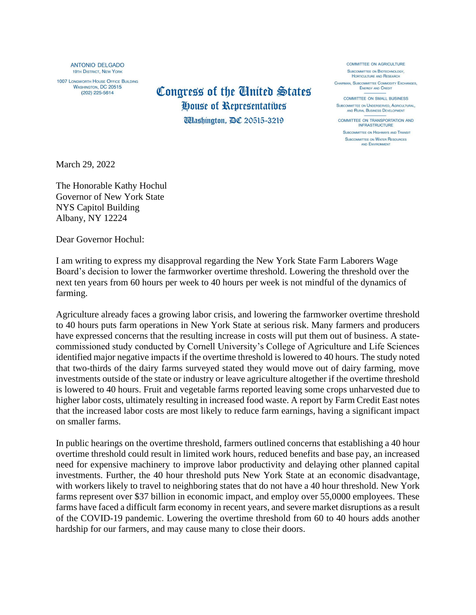ANTONIO DEL GADO **19TH DISTRICT, NEW YORK** 

1007 LONGWORTH HOUSE OFFICE BUILDING **WASHINGTON, DC 20515**  $(202)$  225-5614

## Congress of the United States House of Representatives

*Udashington, DC 20515-3219* 

COMMITTEE ON AGRICULTURE SUBCOMMITTEE ON BIOTECHNOLOGY. HORTICULTURE AND RESEARCH CHAIRMAN, SUBCOMMITTEE COMMODITY EXCHANGES, ENERGY AND CREDIT

**COMMITTEE ON SMALL BUSINESS** SUBCOMMITTEE ON UNDERSERVED, AGRICULTURAL, AND RURAL BUSINESS DEVELOPMENT

COMMITTEE ON TRANSPORTATION AND INFRASTRUCTURE

SUBCOMMITTEE ON HIGHWAYS AND TRANSIT SUBCOMMITTEE ON WATER RESOURCES AND ENVIRONMENT

March 29, 2022

The Honorable Kathy Hochul Governor of New York State NYS Capitol Building Albany, NY 12224

Dear Governor Hochul:

I am writing to express my disapproval regarding the New York State Farm Laborers Wage Board's decision to lower the farmworker overtime threshold. Lowering the threshold over the next ten years from 60 hours per week to 40 hours per week is not mindful of the dynamics of farming.

Agriculture already faces a growing labor crisis, and lowering the farmworker overtime threshold to 40 hours puts farm operations in New York State at serious risk. Many farmers and producers have expressed concerns that the resulting increase in costs will put them out of business. A statecommissioned study conducted by Cornell University's College of Agriculture and Life Sciences identified major negative impacts if the overtime threshold is lowered to 40 hours. The study noted that two-thirds of the dairy farms surveyed stated they would move out of dairy farming, move investments outside of the state or industry or leave agriculture altogether if the overtime threshold is lowered to 40 hours. Fruit and vegetable farms reported leaving some crops unharvested due to higher labor costs, ultimately resulting in increased food waste. A report by Farm Credit East notes that the increased labor costs are most likely to reduce farm earnings, having a significant impact on smaller farms.

In public hearings on the overtime threshold, farmers outlined concerns that establishing a 40 hour overtime threshold could result in limited work hours, reduced benefits and base pay, an increased need for expensive machinery to improve labor productivity and delaying other planned capital investments. Further, the 40 hour threshold puts New York State at an economic disadvantage, with workers likely to travel to neighboring states that do not have a 40 hour threshold. New York farms represent over \$37 billion in economic impact, and employ over 55,0000 employees. These farms have faced a difficult farm economy in recent years, and severe market disruptions as a result of the COVID-19 pandemic. Lowering the overtime threshold from 60 to 40 hours adds another hardship for our farmers, and may cause many to close their doors.